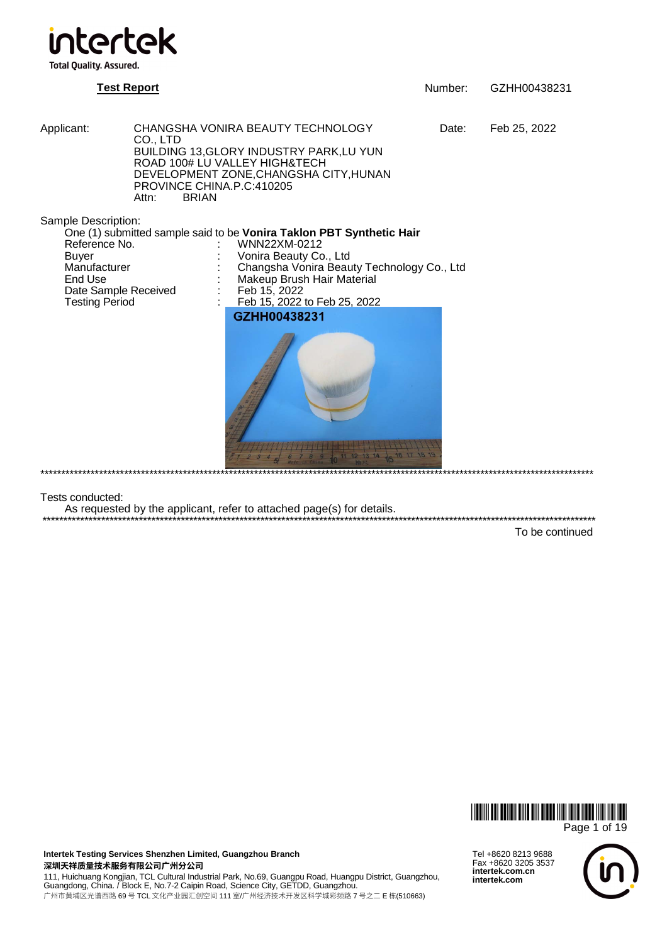

**Test Report** Number: GZHH00438231

Applicant: CHANGSHA VONIRA BEAUTY TECHNOLOGY Date: Feb 25, 2022 CO., LTD BUILDING 13,GLORY INDUSTRY PARK,LU YUN ROAD 100# LU VALLEY HIGH&TECH DEVELOPMENT ZONE,CHANGSHA CITY,HUNAN PROVINCE CHINA.P.C:410205<br>Attn: BRIAN **BRIAN** 

Sample Description:

One (1) submitted sample said to be **Vonira Taklon PBT Synthetic Hair** Reference No.  $\cdot$  WNN22XM-0212

nce and the United States Co., Ltd<br>Buyer : Changsha Vonira Beau<br>Manufacturer : Changsha Vonira Beau Date Sample Received<br>Testing Period

Manufacturer : Changsha Vonira Beauty Technology Co., Ltd

- Makeup Brush Hair Material
- Teb 15, 2022<br>Feb 15, 2022 to Feb 25, 2022
- GZHH00438231



\*\*\*\*\*\*\*\*\*\*\*\*\*\*\*\*\*\*\*\*\*\*\*\*\*\*\*\*\*\*\*\*\*\*\*\*\*\*\*\*\*\*\*\*\*\*\*\*\*\*\*\*\*\*\*\*\*\*\*\*\*\*\*\*\*\*\*\*\*\*\*\*\*\*\*\*\*\*\*\*\*\*\*\*\*\*\*\*\*\*\*\*\*\*\*\*\*\*\*\*\*\*\*\*\*\*\*\*\*\*\*\*\*\*\*\*\*\*\*\*\*\*\*\*\*\*\*\*\*\*\*\*

Tests conducted:

As requested by the applicant, refer to attached page(s) for details.

\*\*\*\*\*\*\*\*\*\*\*\*\*\*\*\*\*\*\*\*\*\*\*\*\*\*\*\*\*\*\*\*\*\*\*\*\*\*\*\*\*\*\*\*\*\*\*\*\*\*\*\*\*\*\*\*\*\*\*\*\*\*\*\*\*\*\*\*\*\*\*\*\*\*\*\*\*\*\*\*\*\*\*\*\*\*\*\*\*\*\*\*\*\*\*\*\*\*\*\*\*\*\*\*\*\*\*\*\*\*\*\*\*\*\*\*\*\*\*\*\*\*\*\*\*\*\*\*\*\*\*\* To be continued



**Intertek Testing Services Shenzhen Limited, Guangzhou Branch**  深圳天祥质量技术服务有限公司广州分公**司** 

111, Huichuang Kongjian, TCL Cultural Industrial Park, No.69, Guangpu Road, Huangpu District, Guangzhou,<br>Guangdong, China. / Block E, No.7-2 Caipin Road, Science City, GETDD, Guangzhou. 广州市黄埔区光谱西路 69 号 TCL 文化产业园汇创空间 111 室/广州经济技术开发区科学城彩频路 7 号之二 E 栋(510663)

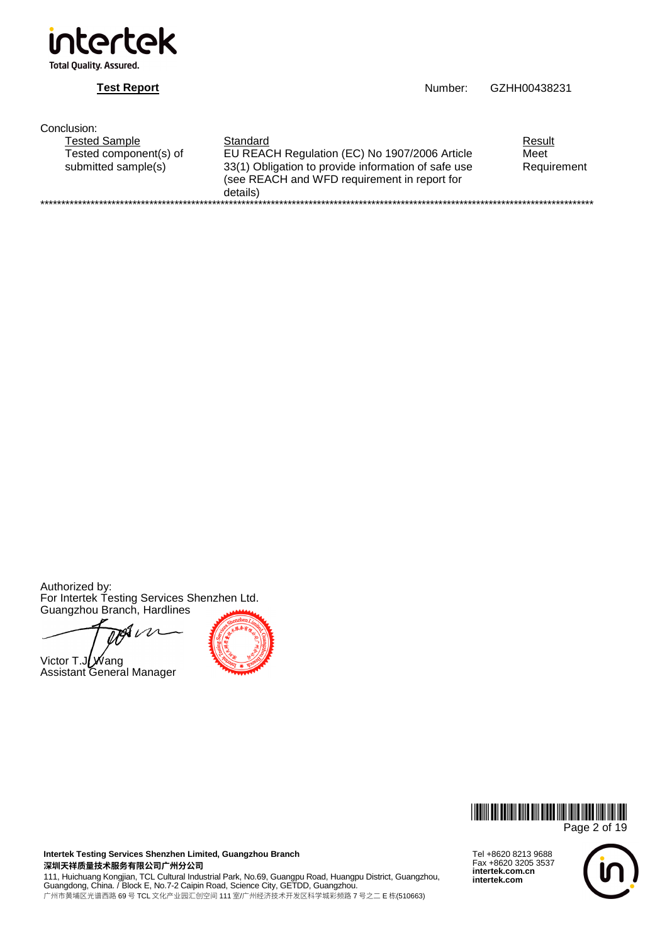

**Test Report Number:** GZHH00438231

| Conclusion:            |                                                                                                                 |             |  |  |  |  |
|------------------------|-----------------------------------------------------------------------------------------------------------------|-------------|--|--|--|--|
| Tested Sample          | Standard                                                                                                        | Result      |  |  |  |  |
| Tested component(s) of | EU REACH Regulation (EC) No 1907/2006 Article                                                                   | Meet        |  |  |  |  |
| submitted sample(s)    | 33(1) Obligation to provide information of safe use<br>(see REACH and WFD requirement in report for<br>details) | Requirement |  |  |  |  |
|                        |                                                                                                                 |             |  |  |  |  |

Authorized by: For Intertek Testing Services Shenzhen Ltd. Guangzhou Branch, Hardlines

s  $\iota$ 

Victor T.JUWang Assistant General Manager





**Intertek Testing Services Shenzhen Limited, Guangzhou Branch**  深圳天祥质量技术服务有限公司广州分公司

111, Huichuang Kongjian, TCL Cultural Industrial Park, No.69, Guangpu Road, Huangpu District, Guangzhou,<br>Guangdong, China. / Block E, No.7-2 Caipin Road, Science City, GETDD, Guangzhou. 广州市黄埔区光谱西路 69 号 TCL 文化产业园汇创空间 111 室/广州经济技术开发区科学城彩频路 7 号之二 E 栋(510663)

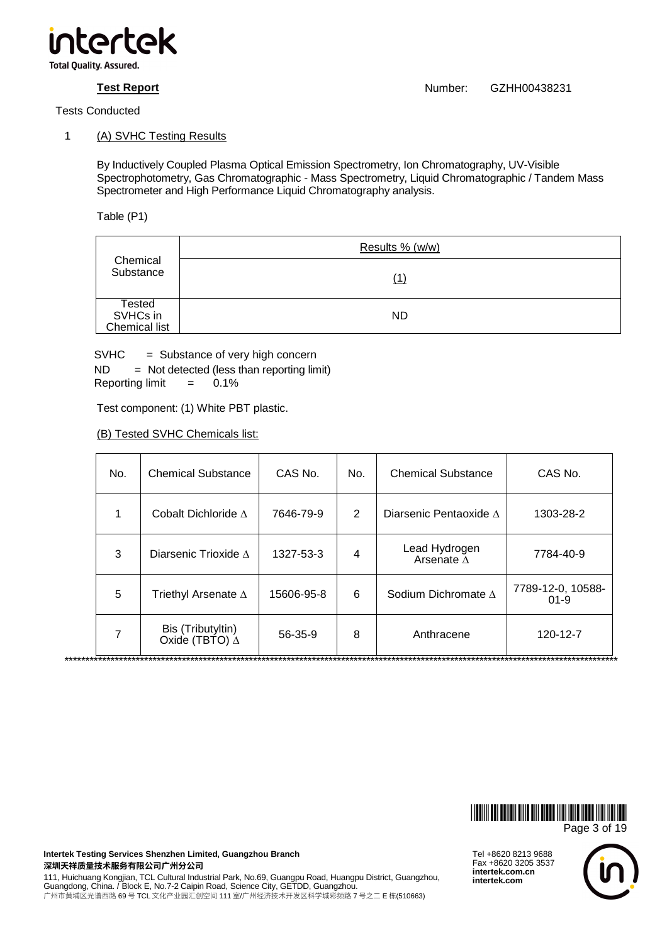

# 1 (A) SVHC Testing Results

By Inductively Coupled Plasma Optical Emission Spectrometry, Ion Chromatography, UV-Visible Spectrophotometry, Gas Chromatographic - Mass Spectrometry, Liquid Chromatographic / Tandem Mass Spectrometer and High Performance Liquid Chromatography analysis.

Table (P1)

| Chemical<br>Substance               | Results % (w/w) |
|-------------------------------------|-----------------|
|                                     |                 |
| Tested<br>SVHCs in<br>Chemical list | <b>ND</b>       |

SVHC = Substance of very high concern

 $ND = Not detected (less than reporting limit)$ Reporting limit  $= 0.1\%$ 

Test component: (1) White PBT plastic.

(B) Tested SVHC Chemicals list:

| No. | <b>Chemical Substance</b>                  | CAS No.    | No.            | <b>Chemical Substance</b>           | CAS No.                       |
|-----|--------------------------------------------|------------|----------------|-------------------------------------|-------------------------------|
| 1   | Cobalt Dichloride $\Lambda$                | 7646-79-9  | $\overline{2}$ | Diarsenic Pentaoxide $\Lambda$      | 1303-28-2                     |
| 3   | Diarsenic Trioxide $\Lambda$               | 1327-53-3  | 4              | Lead Hydrogen<br>Arsenate $\Lambda$ | 7784-40-9                     |
| 5   | Triethyl Arsenate $\Delta$                 | 15606-95-8 | 6              | Sodium Dichromate $\Lambda$         | 7789-12-0, 10588-<br>$01 - 9$ |
| 7   | Bis (Tributyltin)<br>Oxide (TBTO) $\Delta$ | 56-35-9    | 8              | Anthracene                          | 120-12-7                      |



Tel +8620 8213 9688 Fax +8620 3205 3537 **intertek.com.cn intertek.com**

**Intertek Testing Services Shenzhen Limited, Guangzhou Branch**  深圳天祥质量技术服务有限公司广州分公司

111, Huichuang Kongjian, TCL Cultural Industrial Park, No.69, Guangpu Road, Huangpu District, Guangzhou, Guangdong, China. / Block E, No.7-2 Caipin Road, Science City, GETDD, Guangzhou. 广州市黄埔区光谱西路 69 号 TCL 文化产业园汇创空间 111 室/广州经济技术开发区科学城彩频路 7 号之二 E 栋(510663)

**Test Report** Number: GZHH00438231

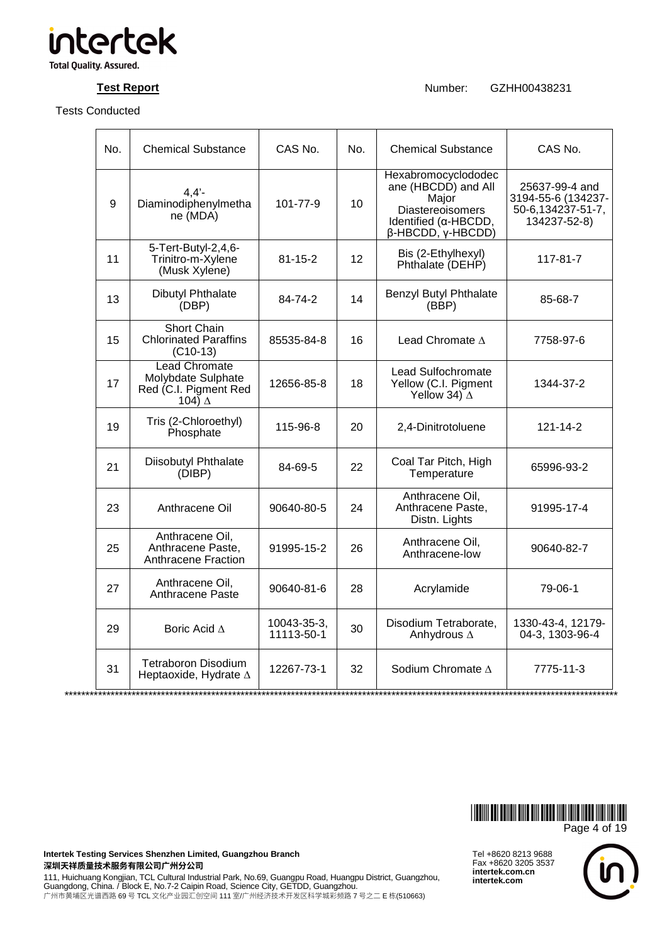

**Test Report Number:** GZHH00438231

| No. | <b>Chemical Substance</b>                                                            | CAS No.                   | No. | <b>Chemical Substance</b>                                                                                                                  | CAS No.                                                                   |
|-----|--------------------------------------------------------------------------------------|---------------------------|-----|--------------------------------------------------------------------------------------------------------------------------------------------|---------------------------------------------------------------------------|
| 9   | $4,4'$ -<br>Diaminodiphenylmetha<br>ne (MDA)                                         | 101-77-9                  | 10  | Hexabromocyclododec<br>ane (HBCDD) and All<br>Major<br><b>Diastereoisomers</b><br>Identified (α-HBCDD,<br>$\beta$ -HBCDD, $\gamma$ -HBCDD) | 25637-99-4 and<br>3194-55-6 (134237-<br>50-6,134237-51-7,<br>134237-52-8) |
| 11  | 5-Tert-Butyl-2,4,6-<br>Trinitro-m-Xylene<br>(Musk Xylene)                            | $81 - 15 - 2$             | 12  | Bis (2-Ethylhexyl)<br>Phthalate (DEHP)                                                                                                     | 117-81-7                                                                  |
| 13  | <b>Dibutyl Phthalate</b><br>(DBP)                                                    | 84-74-2                   | 14  | Benzyl Butyl Phthalate<br>(BBP)                                                                                                            | 85-68-7                                                                   |
| 15  | <b>Short Chain</b><br><b>Chlorinated Paraffins</b><br>$(C10-13)$                     | 85535-84-8                | 16  | Lead Chromate $\Delta$                                                                                                                     | 7758-97-6                                                                 |
| 17  | <b>Lead Chromate</b><br>Molybdate Sulphate<br>Red (C.I. Pigment Red<br>104) $\Delta$ | 12656-85-8                | 18  | Lead Sulfochromate<br>Yellow (C.I. Pigment<br>Yellow 34) $\Delta$                                                                          | 1344-37-2                                                                 |
| 19  | Tris (2-Chloroethyl)<br>Phosphate                                                    | 115-96-8                  | 20  | 2,4-Dinitrotoluene                                                                                                                         | 121-14-2                                                                  |
| 21  | Diisobutyl Phthalate<br>(DIBP)                                                       | 84-69-5                   | 22  | Coal Tar Pitch, High<br>Temperature                                                                                                        | 65996-93-2                                                                |
| 23  | Anthracene Oil                                                                       | 90640-80-5                | 24  | Anthracene Oil,<br>Anthracene Paste,<br>Distn. Lights                                                                                      | 91995-17-4                                                                |
| 25  | Anthracene Oil,<br>Anthracene Paste,<br>Anthracene Fraction                          | 91995-15-2                | 26  | Anthracene Oil,<br>Anthracene-low                                                                                                          | 90640-82-7                                                                |
| 27  | Anthracene Oil,<br>Anthracene Paste                                                  | 90640-81-6                | 28  | Acrylamide                                                                                                                                 | 79-06-1                                                                   |
| 29  | Boric Acid $\Delta$                                                                  | 10043-35-3,<br>11113-50-1 | 30  | Disodium Tetraborate,<br>Anhydrous $\Delta$                                                                                                | 1330-43-4, 12179-<br>04-3, 1303-96-4                                      |
| 31  | Tetraboron Disodium<br>Heptaoxide, Hydrate $\Delta$                                  | 12267-73-1                | 32  | Sodium Chromate $\Delta$                                                                                                                   | 7775-11-3                                                                 |
|     |                                                                                      |                           |     |                                                                                                                                            |                                                                           |



**Intertek Testing Services Shenzhen Limited, Guangzhou Branch**  深圳天祥质量技术服务有限公司广州分公司

111, Huichuang Kongjian, TCL Cultural Industrial Park, No.69, Guangpu Road, Huangpu District, Guangzhou,<br>Guangdong, China. / Block E, No.7-2 Caipin Road, Science City, GETDD, Guangzhou. 广州市黄埔区光谱西路 69 号 TCL 文化产业园汇创空间 111 室/广州经济技术开发区科学城彩频路 7 号之二 E 栋(510663)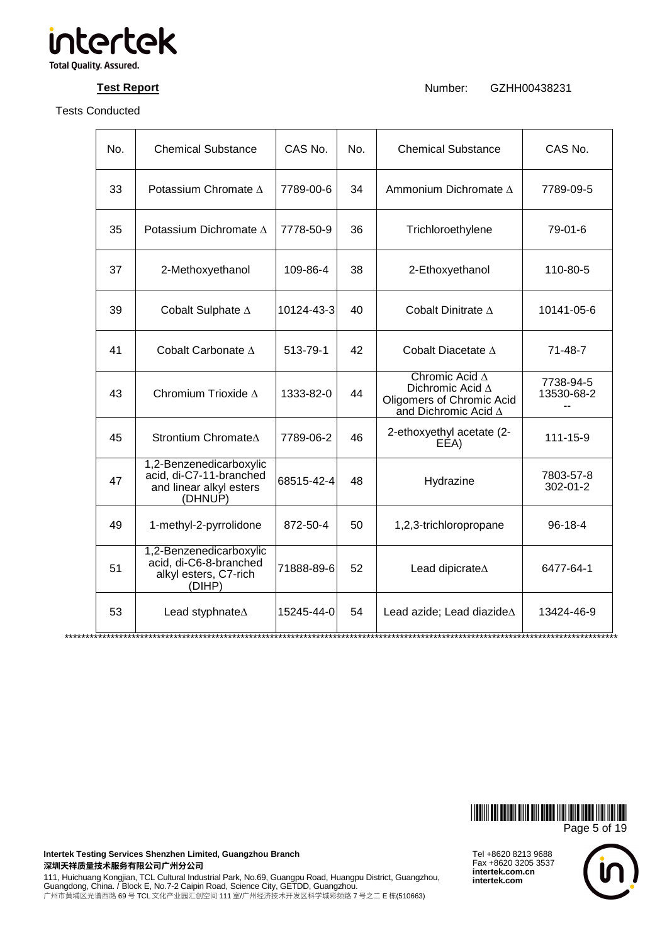

**Test Report Number:** GZHH00438231

| No. | <b>Chemical Substance</b>                                                                | CAS No.    | No. | <b>Chemical Substance</b>                                                                                    | CAS No.                 |
|-----|------------------------------------------------------------------------------------------|------------|-----|--------------------------------------------------------------------------------------------------------------|-------------------------|
| 33  | Potassium Chromate $\Lambda$                                                             | 7789-00-6  | 34  | Ammonium Dichromate $\Delta$                                                                                 | 7789-09-5               |
| 35  | Potassium Dichromate A                                                                   | 7778-50-9  | 36  | Trichloroethylene                                                                                            | 79-01-6                 |
| 37  | 2-Methoxyethanol                                                                         | 109-86-4   | 38  | 2-Ethoxyethanol                                                                                              | 110-80-5                |
| 39  | Cobalt Sulphate A                                                                        | 10124-43-3 | 40  | Cobalt Dinitrate $\Delta$                                                                                    | 10141-05-6              |
| 41  | Cobalt Carbonate A                                                                       | 513-79-1   | 42  | Cobalt Diacetate $\Delta$                                                                                    | $71 - 48 - 7$           |
| 43  | Chromium Trioxide A                                                                      | 1333-82-0  | 44  | Chromic Acid $\Delta$<br>Dichromic Acid $\Delta$<br>Oligomers of Chromic Acid<br>and Dichromic Acid $\Delta$ | 7738-94-5<br>13530-68-2 |
| 45  | Strontium Chromate∆                                                                      | 7789-06-2  | 46  | 2-ethoxyethyl acetate (2-<br>EEA)                                                                            | $111 - 15 - 9$          |
| 47  | 1,2-Benzenedicarboxylic<br>acid, di-C7-11-branched<br>and linear alkyl esters<br>(DHNUP) | 68515-42-4 | 48  | Hydrazine                                                                                                    | 7803-57-8<br>302-01-2   |
| 49  | 1-methyl-2-pyrrolidone                                                                   | 872-50-4   | 50  | 1,2,3-trichloropropane                                                                                       | $96 - 18 - 4$           |
| 51  | 1,2-Benzenedicarboxylic<br>acid, di-C6-8-branched<br>alkyl esters, C7-rich<br>(DIHP)     | 71888-89-6 | 52  | Lead dipicrate <sup><math>\Delta</math></sup>                                                                | 6477-64-1               |
| 53  | Lead styphnate <sup><math>\Delta</math></sup>                                            | 15245-44-0 | 54  | Lead azide; Lead diazide $\Delta$                                                                            | 13424-46-9              |



Tel +8620 8213 9688 Fax +8620 3205 3537 **intertek.com.cn intertek.com**



**Intertek Testing Services Shenzhen Limited, Guangzhou Branch**  深圳天祥质量技术服务有限公司广州分公司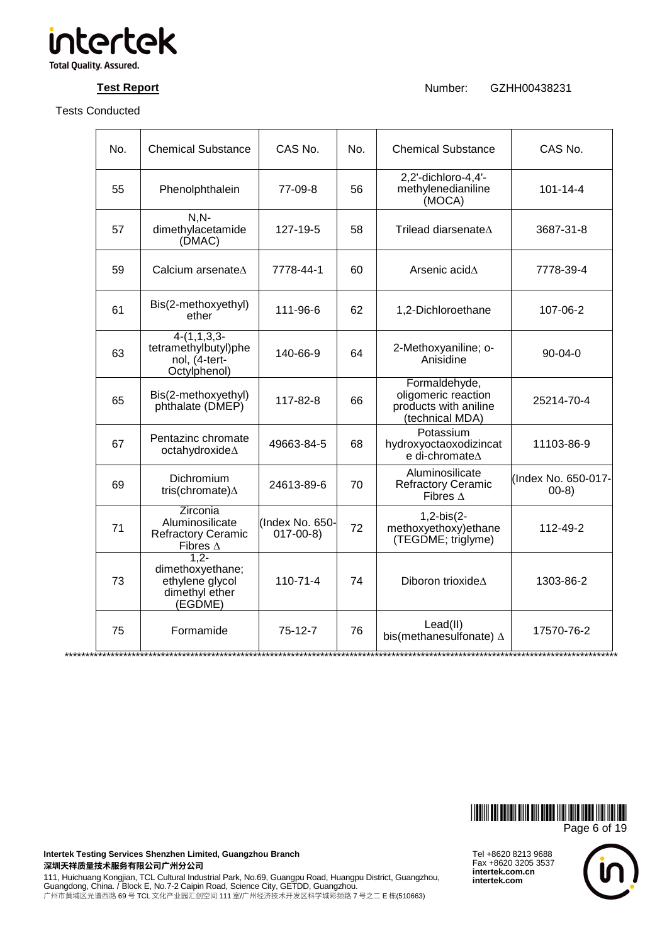

**Test Report Number:** GZHH00438231

| No. | <b>Chemical Substance</b>                                                          | CAS No.                           | No. | <b>Chemical Substance</b>                                                        | CAS No.                       |
|-----|------------------------------------------------------------------------------------|-----------------------------------|-----|----------------------------------------------------------------------------------|-------------------------------|
| 55  | Phenolphthalein                                                                    | 77-09-8                           | 56  | 2,2'-dichloro-4,4'-<br>methylenedianiline<br>(MOCA)                              | $101 - 14 - 4$                |
| 57  | $N, N-$<br>dimethylacetamide<br>(DMAC)                                             | 127-19-5                          | 58  | Trilead diarsenate $\Delta$                                                      | 3687-31-8                     |
| 59  | Calcium arsenateA                                                                  | 7778-44-1                         | 60  | Arsenic acid $\Delta$                                                            | 7778-39-4                     |
| 61  | Bis(2-methoxyethyl)<br>ether                                                       | 111-96-6                          | 62  | 1,2-Dichloroethane                                                               | 107-06-2                      |
| 63  | $4-(1,1,3,3-$<br>tetramethylbutyl)phe<br>nol, (4-tert-<br>Octylphenol)             | 140-66-9                          | 64  | 2-Methoxyaniline; o-<br>Anisidine                                                | $90 - 04 - 0$                 |
| 65  | Bis(2-methoxyethyl)<br>phthalate (DMEP)                                            | 117-82-8                          | 66  | Formaldehyde,<br>oligomeric reaction<br>products with aniline<br>(technical MDA) | 25214-70-4                    |
| 67  | Pentazinc chromate<br>octahydroxide∆                                               | 49663-84-5                        | 68  | Potassium<br>hydroxyoctaoxodizincat<br>e di-chromate∆                            | 11103-86-9                    |
| 69  | Dichromium<br>tris(chromate) $\Delta$                                              | 24613-89-6                        | 70  | Aluminosilicate<br><b>Refractory Ceramic</b><br>Fibres $\Delta$                  | (Index No. 650-017-<br>$00-8$ |
| 71  | <b>Zirconia</b><br>Aluminosilicate<br><b>Refractory Ceramic</b><br>Fibres $\Delta$ | (Index No. 650-<br>$017 - 00 - 8$ | 72  | $1,2-bis(2-$<br>methoxyethoxy) ethane<br>(TEGDME; triglyme)                      | 112-49-2                      |
| 73  | $1.2 -$<br>dimethoxyethane;<br>ethylene glycol<br>dimethyl ether<br>(EGDME)        | $110 - 71 - 4$                    | 74  | Diboron trioxideA                                                                | 1303-86-2                     |
| 75  | Formamide                                                                          | $75-12-7$                         | 76  | Lead(II)<br>bis(methanesulfonate) $\Delta$                                       | 17570-76-2                    |



**Intertek Testing Services Shenzhen Limited, Guangzhou Branch**  深圳天祥质量技术服务有限公司广州分公司

111, Huichuang Kongjian, TCL Cultural Industrial Park, No.69, Guangpu Road, Huangpu District, Guangzhou,<br>Guangdong, China. / Block E, No.7-2 Caipin Road, Science City, GETDD, Guangzhou. 广州市黄埔区光谱西路 69 号 TCL 文化产业园汇创空间 111 室/广州经济技术开发区科学城彩频路 7 号之二 E 栋(510663)

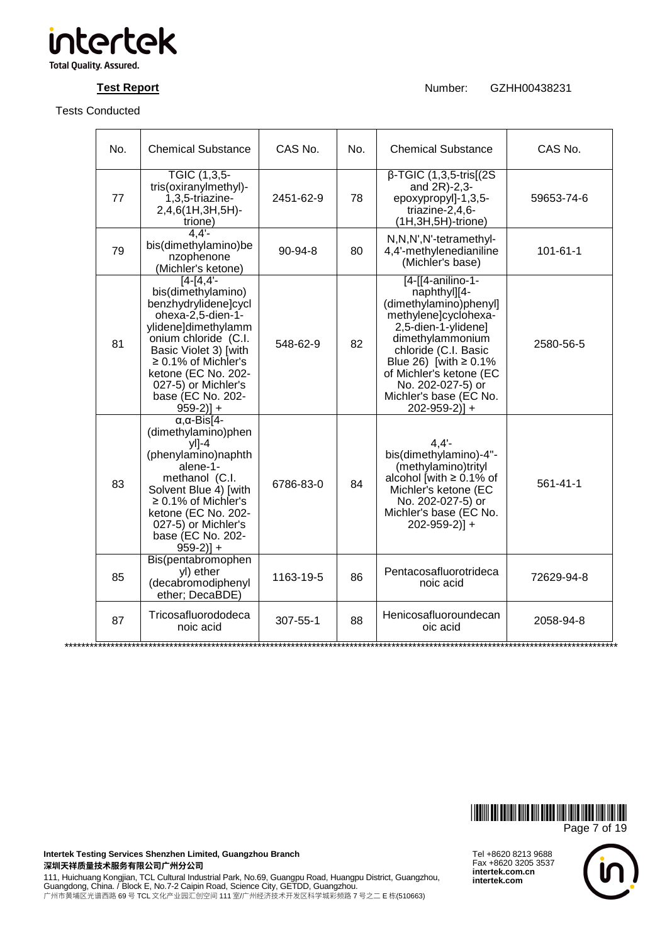

**Test Report Number:** GZHH00438231

| No. | <b>Chemical Substance</b>                                                                                                                                                                                                                                              | CAS No.       | No. | <b>Chemical Substance</b>                                                                                                                                                                                                                                                                  | CAS No.        |
|-----|------------------------------------------------------------------------------------------------------------------------------------------------------------------------------------------------------------------------------------------------------------------------|---------------|-----|--------------------------------------------------------------------------------------------------------------------------------------------------------------------------------------------------------------------------------------------------------------------------------------------|----------------|
| 77  | TGIC (1,3,5-<br>tris(oxiranylmethyl)-<br>1,3,5-triazine-<br>2,4,6(1H,3H,5H)-<br>trione)                                                                                                                                                                                | 2451-62-9     | 78  | $\beta$ -TGIC (1,3,5-tris[(2S)<br>and $2R$ )-2,3-<br>epoxypropyl]-1,3,5-<br>triazine-2,4,6-<br>(1H,3H,5H)-trione)                                                                                                                                                                          | 59653-74-6     |
| 79  | 4,4'<br>bis(dimethylamino)be<br>nzophenone<br>(Michler's ketone)                                                                                                                                                                                                       | $90 - 94 - 8$ | 80  | N,N,N',N'-tetramethyl-<br>4,4'-methylenedianiline<br>(Michler's base)                                                                                                                                                                                                                      | $101 - 61 - 1$ |
| 81  | $[4 - 14, 4]$<br>bis(dimethylamino)<br>benzhydrylidene]cycl<br>ohexa-2,5-dien-1-<br>ylidene]dimethylamm<br>onium chloride (C.I.<br>Basic Violet 3) [with<br>$\geq$ 0.1% of Michler's<br>ketone (EC No. 202-<br>027-5) or Michler's<br>base (EC No. 202-<br>$959-2$ ] + | 548-62-9      | 82  | $[4-[4-1]$ anilino-1-<br>naphthyl][4-<br>(dimethylamino)phenyl]<br>methylene]cyclohexa-<br>2,5-dien-1-ylidene]<br>dimethylammonium<br>chloride (C.I. Basic<br>Blue 26) [with $\geq$ 0.1%<br>of Michler's ketone (EC<br>No. 202-027-5) or<br>Michler's base (EC No.<br>$202 - 959 - 2)$ ] + | 2580-56-5      |
| 83  | $\alpha$ , $\alpha$ -Bis[4-<br>(dimethylamino)phen<br>$y$ l]-4<br>(phenylamino)naphth<br>alene-1-<br>methanol (C.I.<br>Solvent Blue 4) [with<br>$\geq$ 0.1% of Michler's<br>ketone (EC No. 202-<br>027-5) or Michler's<br>base (EC No. 202-<br>$959-2$ ] +             | 6786-83-0     | 84  | 4.4'<br>bis(dimethylamino)-4"-<br>(methylamino)trityl<br>alcohol [with $\geq$ 0.1% of<br>Michler's ketone (EC<br>No. 202-027-5) or<br>Michler's base (EC No.<br>$202 - 959 - 2)$ +                                                                                                         | $561 - 41 - 1$ |
| 85  | Bis(pentabromophen<br>yl) ether<br>(decabromodiphenyl<br>ether; DecaBDE)                                                                                                                                                                                               | 1163-19-5     | 86  | Pentacosafluorotrideca<br>noic acid                                                                                                                                                                                                                                                        | 72629-94-8     |
| 87  | Tricosafluorododeca<br>noic acid                                                                                                                                                                                                                                       | 307-55-1      | 88  | Henicosafluoroundecan<br>oic acid                                                                                                                                                                                                                                                          | 2058-94-8      |



Tel +8620 8213 9688 Fax +8620 3205 3537 **intertek.com.cn intertek.com**



**Intertek Testing Services Shenzhen Limited, Guangzhou Branch**  深圳天祥质量技术服务有限公司广州分公司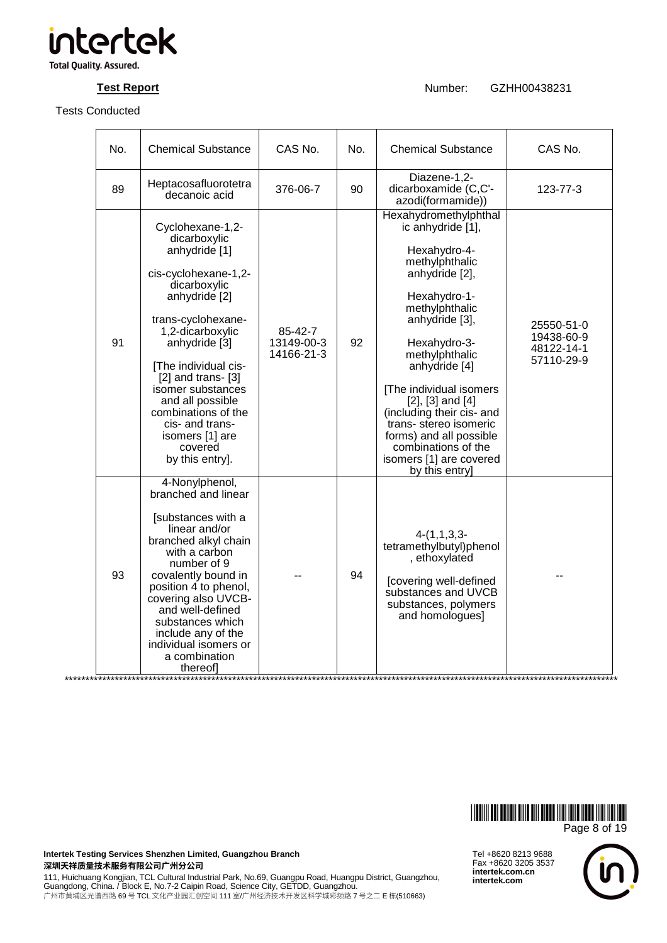

**Test Report Number:** GZHH00438231

| No. | <b>Chemical Substance</b>                                                                                                                                                                                                                                                                                                                                              | CAS No.                             | No. | <b>Chemical Substance</b>                                                                                                                                                                                                                                                                                                                                                                                        | CAS No.                                              |
|-----|------------------------------------------------------------------------------------------------------------------------------------------------------------------------------------------------------------------------------------------------------------------------------------------------------------------------------------------------------------------------|-------------------------------------|-----|------------------------------------------------------------------------------------------------------------------------------------------------------------------------------------------------------------------------------------------------------------------------------------------------------------------------------------------------------------------------------------------------------------------|------------------------------------------------------|
| 89  | Heptacosafluorotetra<br>decanoic acid                                                                                                                                                                                                                                                                                                                                  | 376-06-7                            | 90  | Diazene-1,2-<br>dicarboxamide (C,C'-<br>azodi(formamide))                                                                                                                                                                                                                                                                                                                                                        | $123 - 77 - 3$                                       |
| 91  | Cyclohexane-1,2-<br>dicarboxylic<br>anhydride [1]<br>cis-cyclohexane-1,2-<br>dicarboxylic<br>anhydride <sup>[2]</sup><br>trans-cyclohexane-<br>1,2-dicarboxylic<br>anhydride [3]<br>[The individual cis-<br>$[2]$ and trans- $[3]$<br>isomer substances<br>and all possible<br>combinations of the<br>cis- and trans-<br>isomers [1] are<br>covered<br>by this entry]. | 85-42-7<br>13149-00-3<br>14166-21-3 | 92  | Hexahydromethylphthal<br>ic anhydride [1],<br>Hexahydro-4-<br>methylphthalic<br>anhydride [2],<br>Hexahydro-1-<br>methylphthalic<br>anhydride [3],<br>Hexahydro-3-<br>methylphthalic<br>anhydride [4]<br>[The individual isomers<br>$[2]$ , $[3]$ and $[4]$<br>(including their cis- and<br>trans-stereo isomeric<br>forms) and all possible<br>combinations of the<br>isomers [1] are covered<br>by this entry] | 25550-51-0<br>19438-60-9<br>48122-14-1<br>57110-29-9 |
| 93  | 4-Nonylphenol,<br>branched and linear<br>[substances with a<br>linear and/or<br>branched alkyl chain<br>with a carbon<br>number of 9<br>covalently bound in<br>position 4 to phenol,<br>covering also UVCB-<br>and well-defined<br>substances which<br>include any of the<br>individual isomers or<br>a combination<br>thereofl                                        |                                     | 94  | $4-(1,1,3,3-$<br>tetramethylbutyl)phenol<br>, ethoxylated<br>[covering well-defined<br>substances and UVCB<br>substances, polymers<br>and homologues]                                                                                                                                                                                                                                                            |                                                      |



Tel +8620 8213 9688 Fax +8620 3205 3537 **intertek.com.cn intertek.com**



**Intertek Testing Services Shenzhen Limited, Guangzhou Branch**  深圳天祥质量技术服务有限公司广州分公司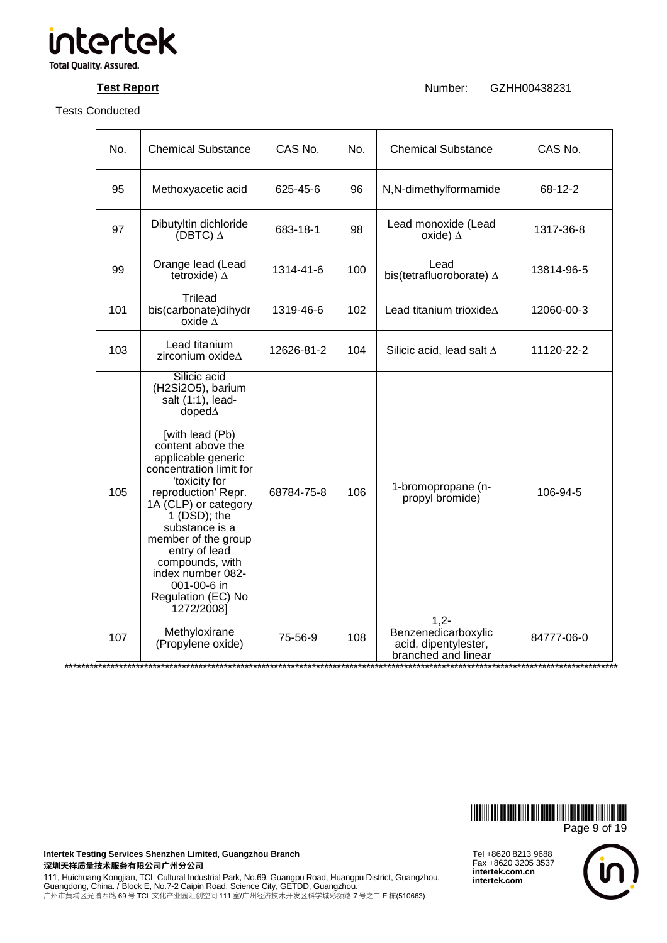

**Test Report Number:** GZHH00438231

| No. | <b>Chemical Substance</b>                                                                                                                                                                                                                                                                                                                                                                      | CAS No.    | No. | <b>Chemical Substance</b>                                                    | CAS No.                                        |
|-----|------------------------------------------------------------------------------------------------------------------------------------------------------------------------------------------------------------------------------------------------------------------------------------------------------------------------------------------------------------------------------------------------|------------|-----|------------------------------------------------------------------------------|------------------------------------------------|
| 95  | Methoxyacetic acid                                                                                                                                                                                                                                                                                                                                                                             | 625-45-6   | 96  | N,N-dimethylformamide                                                        | 68-12-2                                        |
| 97  | Dibutyltin dichloride<br>(DBTC) $\Delta$                                                                                                                                                                                                                                                                                                                                                       | 683-18-1   | 98  | Lead monoxide (Lead<br>oxide) $\Delta$                                       | 1317-36-8                                      |
| 99  | Orange lead (Lead<br>tetroxide) $\Delta$                                                                                                                                                                                                                                                                                                                                                       | 1314-41-6  | 100 | Lead<br>bis(tetrafluoroborate) $\Delta$                                      | 13814-96-5                                     |
| 101 | <b>Trilead</b><br>bis(carbonate)dihydr<br>oxide $\Delta$                                                                                                                                                                                                                                                                                                                                       | 1319-46-6  | 102 | Lead titanium trioxideA                                                      | 12060-00-3                                     |
| 103 | Lead titanium<br>zirconium oxide $\Delta$                                                                                                                                                                                                                                                                                                                                                      | 12626-81-2 | 104 | Silicic acid, lead salt $\Delta$                                             | 11120-22-2                                     |
| 105 | Silicic acid<br>(H2Si2O5), barium<br>salt $(1:1)$ , lead-<br>$d$ oped $\Delta$<br>[with lead (Pb)<br>content above the<br>applicable generic<br>concentration limit for<br>'toxicity for<br>reproduction' Repr.<br>1A (CLP) or category<br>1 (DSD); the<br>substance is a<br>member of the group<br>entry of lead<br>compounds, with<br>index number 082-<br>001-00-6 in<br>Regulation (EC) No | 68784-75-8 | 106 | 1-bromopropane (n-<br>propyl bromide)                                        | 106-94-5                                       |
| 107 | 1272/2008]<br>Methyloxirane<br>(Propylene oxide)                                                                                                                                                                                                                                                                                                                                               | 75-56-9    | 108 | $1,2-$<br>Benzenedicarboxylic<br>acid, dipentylester,<br>branched and linear | 84777-06-0<br>******************************** |



**Intertek Testing Services Shenzhen Limited, Guangzhou Branch**  深圳天祥质量技术服务有限公司广州分公司

111, Huichuang Kongjian, TCL Cultural Industrial Park, No.69, Guangpu Road, Huangpu District, Guangzhou,<br>Guangdong, China. / Block E, No.7-2 Caipin Road, Science City, GETDD, Guangzhou. 广州市黄埔区光谱西路 69 号 TCL 文化产业园汇创空间 111 室/广州经济技术开发区科学城彩频路 7 号之二 E 栋(510663)

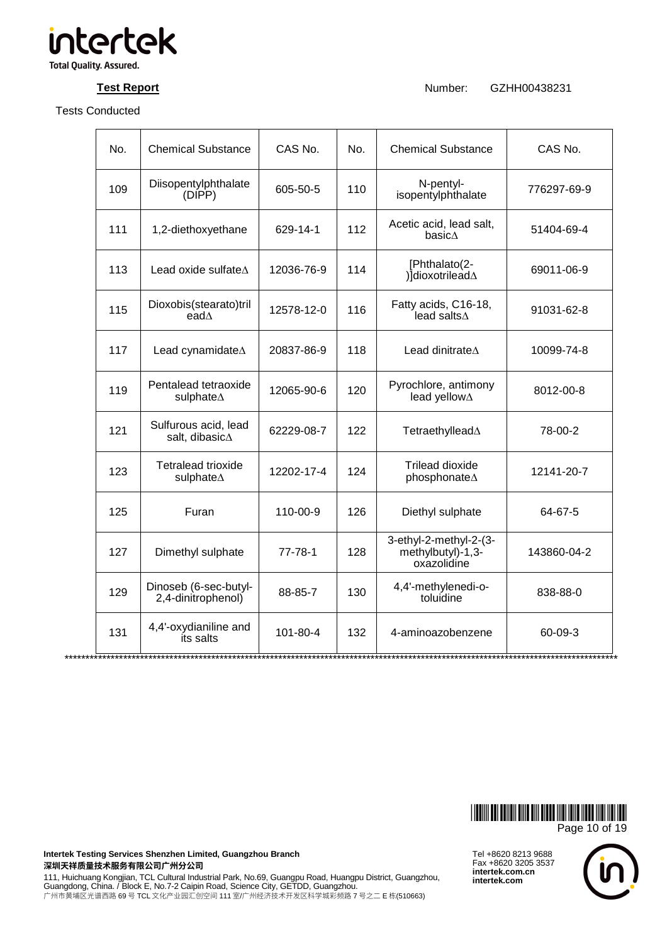

**Test Report Number:** GZHH00438231

| No. | <b>Chemical Substance</b>                      | CAS No.    | No. | <b>Chemical Substance</b>                                  | CAS No.     |
|-----|------------------------------------------------|------------|-----|------------------------------------------------------------|-------------|
| 109 | Diisopentylphthalate<br>(DIPP)                 | 605-50-5   | 110 | N-pentyl-<br>isopentylphthalate                            | 776297-69-9 |
| 111 | 1,2-diethoxyethane                             | 629-14-1   | 112 | Acetic acid, lead salt,<br>basic $\Delta$                  | 51404-69-4  |
| 113 | Lead oxide sulfate $\Delta$                    | 12036-76-9 | 114 | [Phthalato(2-<br>) dioxotrilead A                          | 69011-06-9  |
| 115 | Dioxobis(stearato)tril<br>ead $\Lambda$        | 12578-12-0 | 116 | Fatty acids, C16-18,<br>lead salts $\Delta$                | 91031-62-8  |
| 117 | Lead cynamidate $\Delta$                       | 20837-86-9 | 118 | Lead dinitrate <sup><math>\Delta</math></sup>              | 10099-74-8  |
| 119 | Pentalead tetraoxide<br>sulphate $\Delta$      | 12065-90-6 | 120 | Pyrochlore, antimony<br>lead yellow $\Delta$               | 8012-00-8   |
| 121 | Sulfurous acid, lead<br>salt, dibasic $\Delta$ | 62229-08-7 | 122 | Tetraethyllead∆                                            | 78-00-2     |
| 123 | Tetralead trioxide<br>sulphate∆                | 12202-17-4 | 124 | <b>Trilead dioxide</b><br>phosphonate∆                     | 12141-20-7  |
| 125 | Furan                                          | 110-00-9   | 126 | Diethyl sulphate                                           | 64-67-5     |
| 127 | Dimethyl sulphate                              | 77-78-1    | 128 | 3-ethyl-2-methyl-2-(3-<br>methylbutyl)-1,3-<br>oxazolidine | 143860-04-2 |
| 129 | Dinoseb (6-sec-butyl-<br>2,4-dinitrophenol)    | 88-85-7    | 130 | 4,4'-methylenedi-o-<br>toluidine                           | 838-88-0    |
| 131 | 4,4'-oxydianiline and<br>its salts             | 101-80-4   | 132 | 4-aminoazobenzene                                          | 60-09-3     |



**Intertek Testing Services Shenzhen Limited, Guangzhou Branch**  深圳天祥质量技术服务有限公司广州分公司

111, Huichuang Kongjian, TCL Cultural Industrial Park, No.69, Guangpu Road, Huangpu District, Guangzhou,<br>Guangdong, China. / Block E, No.7-2 Caipin Road, Science City, GETDD, Guangzhou. 广州市黄埔区光谱西路 69 号 TCL 文化产业园汇创空间 111 室/广州经济技术开发区科学城彩频路 7 号之二 E 栋(510663)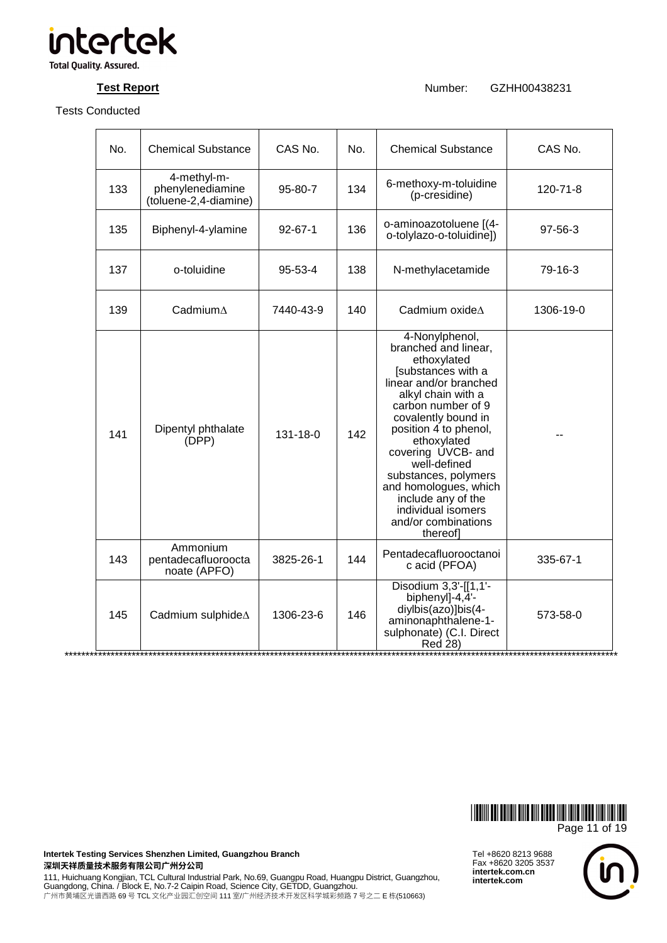

**Test Report Number:** GZHH00438231

| No. | <b>Chemical Substance</b>                                | CAS No.       | No. | <b>Chemical Substance</b>                                                                                                                                                                                                                                                                                                                                                              | CAS No.   |
|-----|----------------------------------------------------------|---------------|-----|----------------------------------------------------------------------------------------------------------------------------------------------------------------------------------------------------------------------------------------------------------------------------------------------------------------------------------------------------------------------------------------|-----------|
| 133 | 4-methyl-m-<br>phenylenediamine<br>(toluene-2,4-diamine) | $95 - 80 - 7$ | 134 | 6-methoxy-m-toluidine<br>(p-cresidine)                                                                                                                                                                                                                                                                                                                                                 | 120-71-8  |
| 135 | Biphenyl-4-ylamine                                       | $92 - 67 - 1$ | 136 | o-aminoazotoluene [(4-<br>o-tolylazo-o-toluidine])                                                                                                                                                                                                                                                                                                                                     | 97-56-3   |
| 137 | o-toluidine                                              | 95-53-4       | 138 | N-methylacetamide                                                                                                                                                                                                                                                                                                                                                                      | 79-16-3   |
| 139 | Cadmium $\Delta$                                         | 7440-43-9     | 140 | Cadmium oxide $\Delta$                                                                                                                                                                                                                                                                                                                                                                 | 1306-19-0 |
| 141 | Dipentyl phthalate<br>(DPP)                              | 131-18-0      | 142 | 4-Nonylphenol,<br>branched and linear,<br>ethoxylated<br>[substances with a<br>linear and/or branched<br>alkyl chain with a<br>carbon number of 9<br>covalently bound in<br>position 4 to phenol,<br>ethoxylated<br>covering UVCB- and<br>well-defined<br>substances, polymers<br>and homologues, which<br>include any of the<br>individual isomers<br>and/or combinations<br>thereof] |           |
| 143 | Ammonium<br>pentadecafluoroocta<br>noate (APFO)          | 3825-26-1     | 144 | Pentadecafluorooctanoi<br>c acid (PFOA)                                                                                                                                                                                                                                                                                                                                                | 335-67-1  |
| 145 | Cadmium sulphide A                                       | 1306-23-6     | 146 | Disodium 3,3'-[[1,1'-<br>biphenyl]-4,4'-<br>diylbis(azo)]bis(4-<br>aminonaphthalene-1-<br>sulphonate) (C.I. Direct<br>Red 28)                                                                                                                                                                                                                                                          | 573-58-0  |



Tel +8620 8213 9688 Fax +8620 3205 3537 **intertek.com.cn intertek.com**



**Intertek Testing Services Shenzhen Limited, Guangzhou Branch**  深圳天祥质量技术服务有限公司广州分公司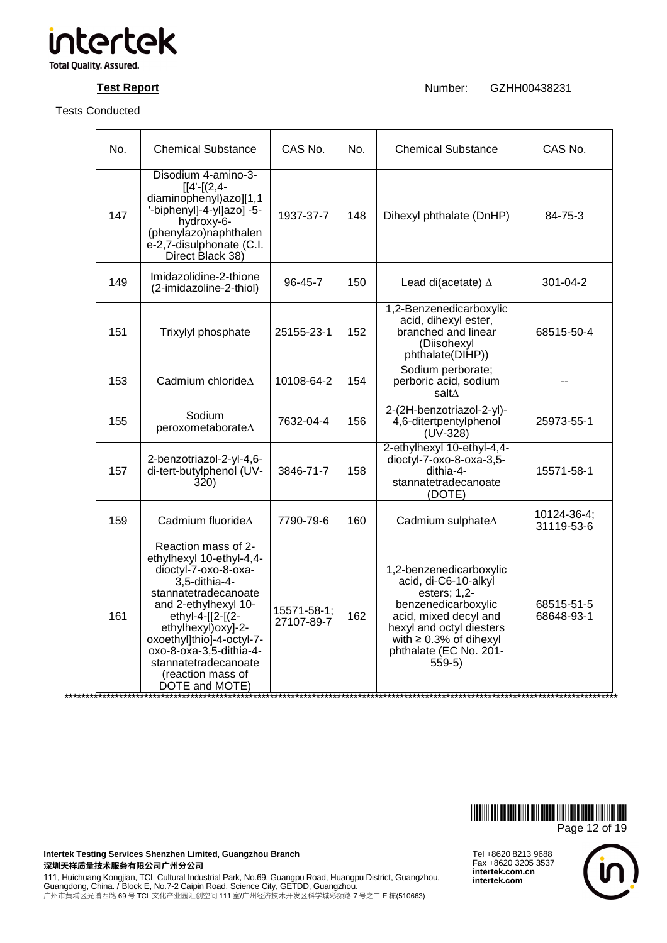

**Test Report Number:** GZHH00438231

| No. | <b>Chemical Substance</b>                                                                                                                                                                                                                                                                                  | CAS No.                   | No. | <b>Chemical Substance</b>                                                                                                                                                                                         | CAS No.                   |
|-----|------------------------------------------------------------------------------------------------------------------------------------------------------------------------------------------------------------------------------------------------------------------------------------------------------------|---------------------------|-----|-------------------------------------------------------------------------------------------------------------------------------------------------------------------------------------------------------------------|---------------------------|
| 147 | Disodium 4-amino-3-<br>$[4 - [(2, 4 -$<br>diaminophenyl)azo][1,1<br>'-biphenyl]-4-yl]azo]-5-<br>hydroxy-6-<br>(phenylazo)naphthalen<br>e-2,7-disulphonate (C.I.<br>Direct Black 38)                                                                                                                        | 1937-37-7                 | 148 | Dihexyl phthalate (DnHP)                                                                                                                                                                                          | 84-75-3                   |
| 149 | Imidazolidine-2-thione<br>(2-imidazoline-2-thiol)                                                                                                                                                                                                                                                          | 96-45-7                   | 150 | Lead di(acetate) $\Delta$                                                                                                                                                                                         | 301-04-2                  |
| 151 | Trixylyl phosphate                                                                                                                                                                                                                                                                                         | 25155-23-1                | 152 | 1,2-Benzenedicarboxylic<br>acid, dihexyl ester,<br>branched and linear<br>(Diisohexyl<br>phthalate(DIHP))                                                                                                         | 68515-50-4                |
| 153 | Cadmium chloride $\Delta$                                                                                                                                                                                                                                                                                  | 10108-64-2                | 154 | Sodium perborate;<br>perboric acid, sodium<br>salt∆                                                                                                                                                               |                           |
| 155 | Sodium<br>peroxometaborate∆                                                                                                                                                                                                                                                                                | 7632-04-4                 | 156 | 2-(2H-benzotriazol-2-yl)-<br>4,6-ditertpentylphenol<br>$(UV-328)$                                                                                                                                                 | 25973-55-1                |
| 157 | 2-benzotriazol-2-yl-4,6-<br>di-tert-butylphenol (UV-<br>320)                                                                                                                                                                                                                                               | 3846-71-7                 | 158 | 2-ethylhexyl 10-ethyl-4,4-<br>dioctyl-7-oxo-8-oxa-3,5-<br>dithia-4-<br>stannatetradecanoate<br>(DOTE)                                                                                                             | 15571-58-1                |
| 159 | Cadmium fluoride <sup><math>\Delta</math></sup>                                                                                                                                                                                                                                                            | 7790-79-6                 | 160 | Cadmium sulphate <sup><math>\Delta</math></sup>                                                                                                                                                                   | 10124-36-4;<br>31119-53-6 |
| 161 | Reaction mass of 2-<br>ethylhexyl 10-ethyl-4,4-<br>dioctyl-7-oxo-8-oxa-<br>3.5-dithia-4-<br>stannatetradecanoate<br>and 2-ethylhexyl 10-<br>ethyl-4-[[2-[(2-<br>ethylhexyl) oxy]-2-<br>oxoethyl]thio]-4-octyl-7-<br>oxo-8-oxa-3,5-dithia-4-<br>stannatetradecanoate<br>(reaction mass of<br>DOTE and MOTE) | 15571-58-1;<br>27107-89-7 | 162 | 1,2-benzenedicarboxylic<br>acid, di-C6-10-alkyl<br>esters; 1,2-<br>benzenedicarboxylic<br>acid, mixed decyl and<br>hexyl and octyl diesters<br>with $\geq 0.3\%$ of dihexyl<br>phthalate (EC No. 201-<br>$559-5)$ | 68515-51-5<br>68648-93-1  |

\*\*\*\*\*\*\*\*\*\*\*\*\*\*\*\*\*\*\*\*\*\*\*\*\*\*\*\*\*\*\*\*\*\*\*\*\*\*\*\*\*\*\*\*\*\*\*\*\*\*\*\*\*\*\*\*\*\*\*\*\*\*\*\*\*\*\*\*\*\*\*\*\*\*\*\*\*\*\*\*\*\*\*\*\*\*\*\*\*\*\*\*\*\*\*\*\*\*\*\*\*\*\*\*\*\*\*\*\*\*\*\*\*\*\*\*\*\*\*\*\*\*\*\*\*\*\*\*\*\*\*\*



**Intertek Testing Services Shenzhen Limited, Guangzhou Branch**  深圳天祥质量技术服务有限公司广州分公司

111, Huichuang Kongjian, TCL Cultural Industrial Park, No.69, Guangpu Road, Huangpu District, Guangzhou,<br>Guangdong, China. / Block E, No.7-2 Caipin Road, Science City, GETDD, Guangzhou. 广州市黄埔区光谱西路 69 号 TCL 文化产业园汇创空间 111 室/广州经济技术开发区科学城彩频路 7 号之二 E 栋(510663)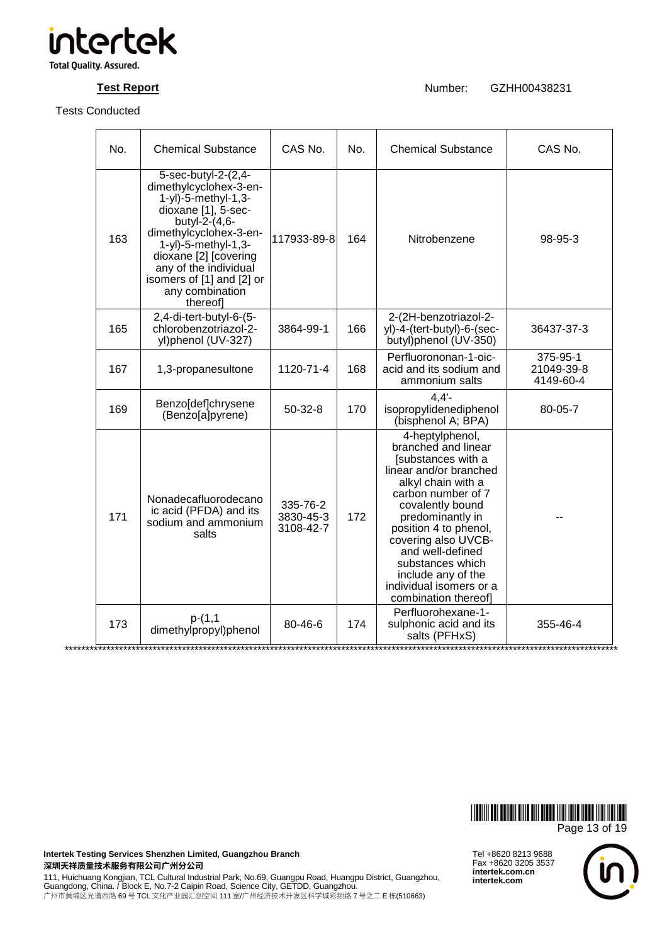

**Test Report Number:** GZHH00438231

| No. | <b>Chemical Substance</b>                                                                                                                                                                                                                                                      | CAS No.                            | No. | <b>Chemical Substance</b>                                                                                                                                                                                                                                                                                                                   | CAS No.                             |
|-----|--------------------------------------------------------------------------------------------------------------------------------------------------------------------------------------------------------------------------------------------------------------------------------|------------------------------------|-----|---------------------------------------------------------------------------------------------------------------------------------------------------------------------------------------------------------------------------------------------------------------------------------------------------------------------------------------------|-------------------------------------|
| 163 | 5-sec-butyl-2-(2,4-<br>dimethylcyclohex-3-en-<br>1-yl)-5-methyl-1,3-<br>dioxane [1], 5-sec-<br>butyl- $2-(4,6-$<br>dimethylcyclohex-3-en-<br>1-yl)-5-methyl-1,3-<br>dioxane [2] [covering<br>any of the individual<br>isomers of [1] and [2] or<br>any combination<br>thereof] | 117933-89-8                        | 164 | Nitrobenzene                                                                                                                                                                                                                                                                                                                                | 98-95-3                             |
| 165 | 2,4-di-tert-butyl-6-(5-<br>chlorobenzotriazol-2-<br>yl)phenol (UV-327)                                                                                                                                                                                                         | 3864-99-1                          | 166 | 2-(2H-benzotriazol-2-<br>yl)-4-(tert-butyl)-6-(sec-<br>butyl)phenol (UV-350)                                                                                                                                                                                                                                                                | 36437-37-3                          |
| 167 | 1,3-propanesultone                                                                                                                                                                                                                                                             | 1120-71-4                          | 168 | Perfluorononan-1-oic-<br>acid and its sodium and<br>ammonium salts                                                                                                                                                                                                                                                                          | 375-95-1<br>21049-39-8<br>4149-60-4 |
| 169 | Benzo[def]chrysene<br>(Benzo[a]pyrene)                                                                                                                                                                                                                                         | $50-32-8$                          | 170 | 4.4'<br>isopropylidenediphenol<br>(bisphenol A; BPA)                                                                                                                                                                                                                                                                                        | 80-05-7                             |
| 171 | Nonadecafluorodecano<br>ic acid (PFDA) and its<br>sodium and ammonium<br>salts                                                                                                                                                                                                 | 335-76-2<br>3830-45-3<br>3108-42-7 | 172 | 4-heptylphenol,<br>branched and linear<br>[substances with a<br>linear and/or branched<br>alkyl chain with a<br>carbon number of 7<br>covalently bound<br>predominantly in<br>position 4 to phenol,<br>covering also UVCB-<br>and well-defined<br>substances which<br>include any of the<br>individual isomers or a<br>combination thereof] |                                     |
| 173 | $p-(1,1)$<br>dimethylpropyl)phenol                                                                                                                                                                                                                                             | 80-46-6                            | 174 | Perfluorohexane-1-<br>sulphonic acid and its<br>salts (PFHxS)                                                                                                                                                                                                                                                                               | 355-46-4                            |



Tel +8620 8213 9688 Fax +8620 3205 3537 **intertek.com.cn** 

**intertek.com**



**Intertek Testing Services Shenzhen Limited, Guangzhou Branch**  深圳天祥质量技术服务有限公司广州分公司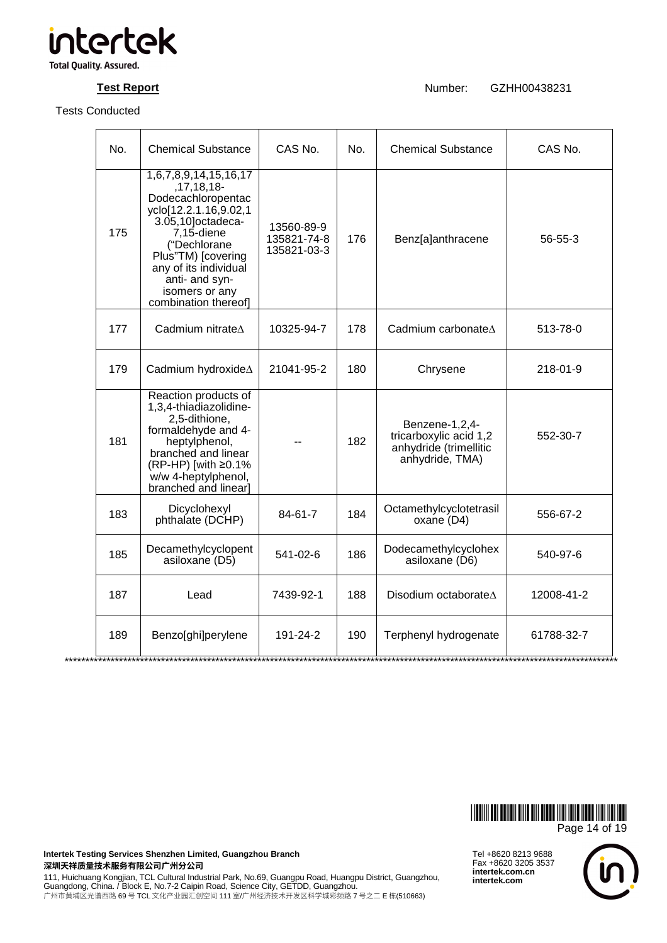

**Test Report Number:** GZHH00438231

| No. | <b>Chemical Substance</b>                                                                                                                                                                                                                            | CAS No.                                  | No. | <b>Chemical Substance</b>                                                             | CAS No.    |
|-----|------------------------------------------------------------------------------------------------------------------------------------------------------------------------------------------------------------------------------------------------------|------------------------------------------|-----|---------------------------------------------------------------------------------------|------------|
| 175 | 1,6,7,8,9,14,15,16,17<br>,17,18,18-<br>Dodecachloropentac<br>yclo[12.2.1.16,9.02,1<br>3.05,10] octadeca-<br>$7,15$ -diene<br>("Dechlorane<br>Plus"TM) [covering<br>any of its individual<br>anti- and syn-<br>isomers or any<br>combination thereof] | 13560-89-9<br>135821-74-8<br>135821-03-3 | 176 | Benz[a]anthracene                                                                     | 56-55-3    |
| 177 | Cadmium nitrate $\Delta$                                                                                                                                                                                                                             | 10325-94-7                               | 178 | Cadmium carbonateA                                                                    | 513-78-0   |
| 179 | Cadmium hydroxideA                                                                                                                                                                                                                                   | 21041-95-2                               | 180 | Chrysene                                                                              | 218-01-9   |
| 181 | Reaction products of<br>1,3,4-thiadiazolidine-<br>2,5-dithione,<br>formaldehyde and 4-<br>heptylphenol,<br>branched and linear<br>(RP-HP) [with ≥0.1%<br>w/w 4-heptylphenol,<br>branched and linear]                                                 |                                          | 182 | Benzene-1,2,4-<br>tricarboxylic acid 1,2<br>anhydride (trimellitic<br>anhydride, TMA) | 552-30-7   |
| 183 | Dicyclohexyl<br>phthalate (DCHP)                                                                                                                                                                                                                     | 84-61-7                                  | 184 | Octamethylcyclotetrasil<br>oxane (D4)                                                 | 556-67-2   |
| 185 | Decamethylcyclopent<br>asiloxane (D5)                                                                                                                                                                                                                | 541-02-6                                 | 186 | Dodecamethylcyclohex<br>asiloxane (D6)                                                | 540-97-6   |
| 187 | Lead                                                                                                                                                                                                                                                 | 7439-92-1                                | 188 | Disodium octaborateA                                                                  | 12008-41-2 |
| 189 | Benzo[ghi]perylene                                                                                                                                                                                                                                   | 191-24-2                                 | 190 | Terphenyl hydrogenate                                                                 | 61788-32-7 |



**Intertek Testing Services Shenzhen Limited, Guangzhou Branch**  深圳天祥质量技术服务有限公司广州分公司

111, Huichuang Kongjian, TCL Cultural Industrial Park, No.69, Guangpu Road, Huangpu District, Guangzhou,<br>Guangdong, China. / Block E, No.7-2 Caipin Road, Science City, GETDD, Guangzhou. 广州市黄埔区光谱西路 69 号 TCL 文化产业园汇创空间 111 室/广州经济技术开发区科学城彩频路 7 号之二 E 栋(510663)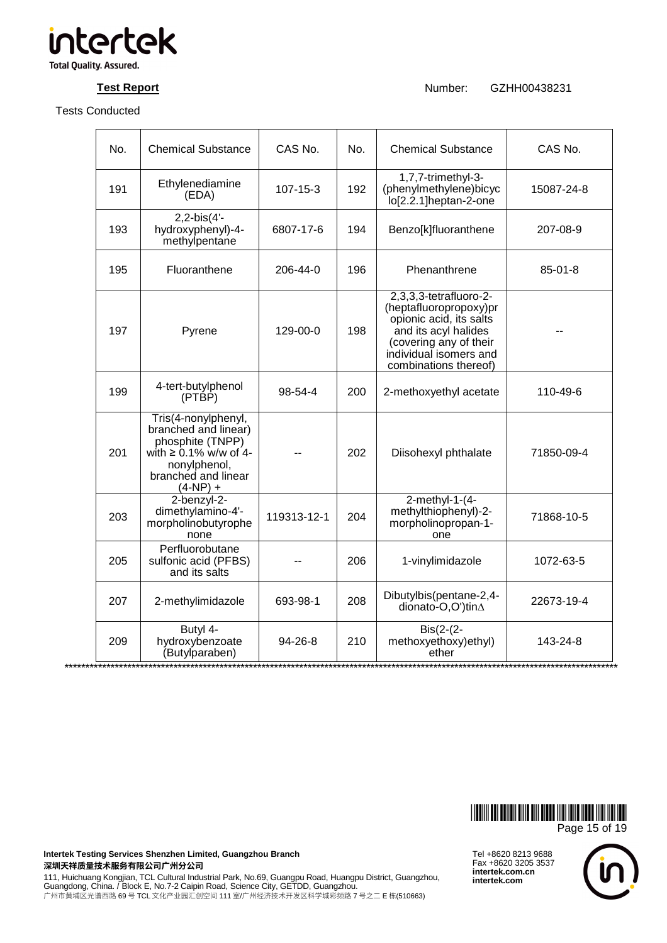

**Test Report Number:** GZHH00438231

| No. | <b>Chemical Substance</b>                                                                                                                           | CAS No.       | No. | <b>Chemical Substance</b>                                                                                                                                                        | CAS No.       |
|-----|-----------------------------------------------------------------------------------------------------------------------------------------------------|---------------|-----|----------------------------------------------------------------------------------------------------------------------------------------------------------------------------------|---------------|
| 191 | Ethylenediamine<br>(EDA)                                                                                                                            | 107-15-3      | 192 | 1,7,7-trimethyl-3-<br>(phenylmethylene)bicyc<br>lo[2.2.1]heptan-2-one                                                                                                            | 15087-24-8    |
| 193 | $2, 2-bis(4'-$<br>hydroxyphenyl)-4-<br>methylpentane                                                                                                | 6807-17-6     | 194 | Benzo[k]fluoranthene                                                                                                                                                             | 207-08-9      |
| 195 | Fluoranthene                                                                                                                                        | 206-44-0      | 196 | Phenanthrene                                                                                                                                                                     | $85 - 01 - 8$ |
| 197 | Pyrene                                                                                                                                              | 129-00-0      | 198 | 2,3,3,3-tetrafluoro-2-<br>(heptafluoropropoxy)pr<br>opionic acid, its salts<br>and its acyl halides<br>(covering any of their<br>individual isomers and<br>combinations thereof) |               |
| 199 | 4-tert-butylphenol<br>$(PT\dot{B}\dot{P})$                                                                                                          | 98-54-4       | 200 | 2-methoxyethyl acetate                                                                                                                                                           | 110-49-6      |
| 201 | Tris(4-nonylphenyl,<br>branched and linear)<br>phosphite (TNPP)<br>with $\geq 0.1\%$ w/w of 4-<br>nonylphenol,<br>branched and linear<br>$(4-NP) +$ |               | 202 | Diisohexyl phthalate                                                                                                                                                             | 71850-09-4    |
| 203 | 2-benzyl-2-<br>dimethylamino-4'-<br>morpholinobutyrophe<br>none                                                                                     | 119313-12-1   | 204 | $2$ -methyl-1- $(4-$<br>methylthiophenyl)-2-<br>morpholinopropan-1-<br>one                                                                                                       | 71868-10-5    |
| 205 | Perfluorobutane<br>sulfonic acid (PFBS)<br>and its salts                                                                                            |               | 206 | 1-vinylimidazole                                                                                                                                                                 | 1072-63-5     |
| 207 | 2-methylimidazole                                                                                                                                   | 693-98-1      | 208 | Dibutylbis(pentane-2,4-<br>dionato-O,O')tin $\Delta$                                                                                                                             | 22673-19-4    |
| 209 | Butyl 4-<br>hydroxybenzoate<br>(Butylparaben)                                                                                                       | $94 - 26 - 8$ | 210 | $ Bis(2-(2-$<br>methoxyethoxy)ethyl)<br>ether                                                                                                                                    | 143-24-8      |



**Intertek Testing Services Shenzhen Limited, Guangzhou Branch**  深圳天祥质量技术服务有限公司广州分公司

111, Huichuang Kongjian, TCL Cultural Industrial Park, No.69, Guangpu Road, Huangpu District, Guangzhou,<br>Guangdong, China. / Block E, No.7-2 Caipin Road, Science City, GETDD, Guangzhou. 广州市黄埔区光谱西路 69 号 TCL 文化产业园汇创空间 111 室/广州经济技术开发区科学城彩频路 7 号之二 E 栋(510663)

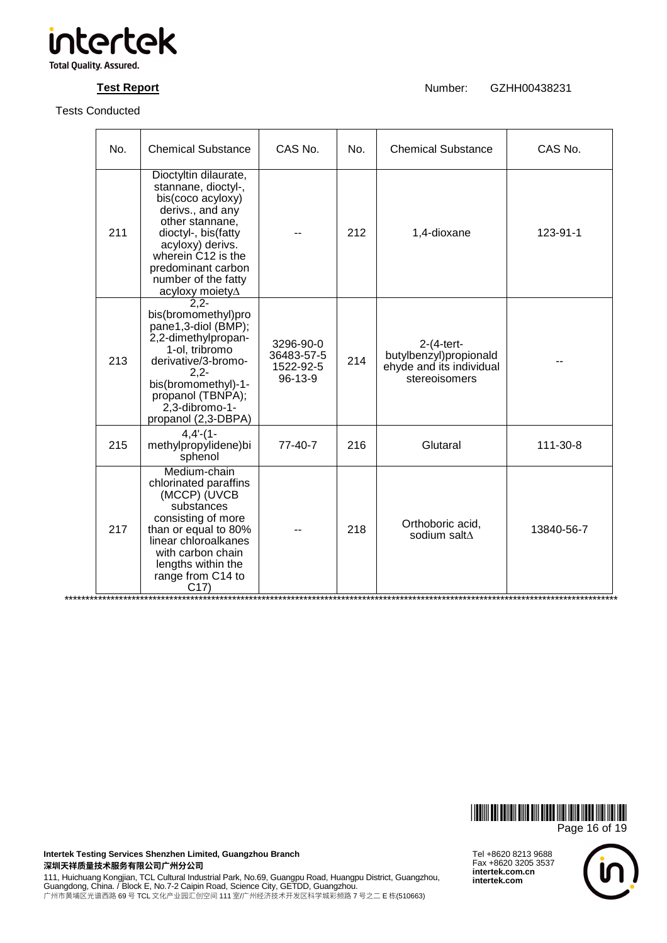

**Test Report Number:** GZHH00438231

| No. | <b>Chemical Substance</b>                                                                                                                                                                                                                 | CAS No.                                         | No. | <b>Chemical Substance</b>                                                          | CAS No.    |
|-----|-------------------------------------------------------------------------------------------------------------------------------------------------------------------------------------------------------------------------------------------|-------------------------------------------------|-----|------------------------------------------------------------------------------------|------------|
| 211 | Dioctyltin dilaurate,<br>stannane, dioctyl-,<br>bis(coco acyloxy)<br>derivs., and any<br>other stannane,<br>dioctyl-, bis(fatty<br>acyloxy) derivs.<br>wherein C12 is the<br>predominant carbon<br>number of the fatty<br>acyloxy moiety∆ |                                                 | 212 | 1,4-dioxane                                                                        | 123-91-1   |
| 213 | $2,2-$<br>bis(bromomethyl)pro<br>pane1,3-diol (BMP);<br>2,2-dimethylpropan-<br>1-ol, tribromo<br>derivative/3-bromo-<br>$2,2-$<br>bis(bromomethyl)-1-<br>propanol (TBNPA);<br>2,3-dibromo-1-<br>propanol (2,3-DBPA)                       | 3296-90-0<br>36483-57-5<br>1522-92-5<br>96-13-9 | 214 | $2-(4-tert$<br>butylbenzyl)propionald<br>ehyde and its individual<br>stereoisomers |            |
| 215 | $4,4'-(1-$<br>methylpropylidene)bi<br>sphenol                                                                                                                                                                                             | $77-40-7$                                       | 216 | Glutaral                                                                           | 111-30-8   |
| 217 | Medium-chain<br>chlorinated paraffins<br>(MCCP) (UVCB<br>substances<br>consisting of more<br>than or equal to 80%<br>linear chloroalkanes<br>with carbon chain<br>lengths within the<br>range from C14 to<br>C17)                         |                                                 | 218 | Orthoboric acid,<br>sodium salt∆                                                   | 13840-56-7 |



**Intertek Testing Services Shenzhen Limited, Guangzhou Branch**  深圳天祥质量技术服务有限公司广州分公司

111, Huichuang Kongjian, TCL Cultural Industrial Park, No.69, Guangpu Road, Huangpu District, Guangzhou,<br>Guangdong, China. / Block E, No.7-2 Caipin Road, Science City, GETDD, Guangzhou. 广州市黄埔区光谱西路 69 号 TCL 文化产业园汇创空间 111 室/广州经济技术开发区科学城彩频路 7 号之二 E 栋(510663)

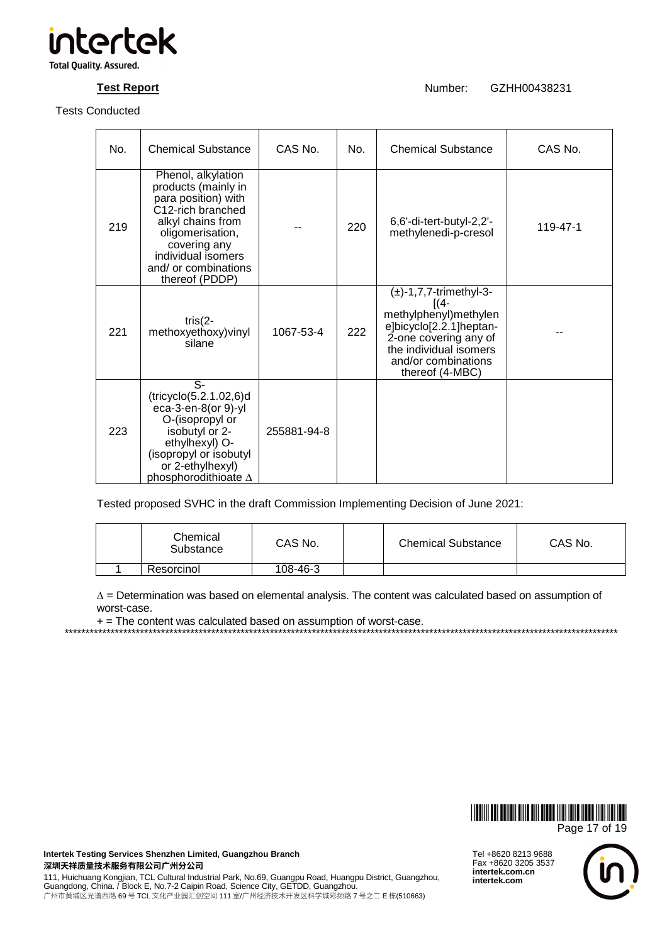

**Test Report** Number: GZHH00438231

| No. | <b>Chemical Substance</b>                                                                                                                                                                                      | CAS No.     | No. | <b>Chemical Substance</b>                                                                                                                                                              | CAS No.  |
|-----|----------------------------------------------------------------------------------------------------------------------------------------------------------------------------------------------------------------|-------------|-----|----------------------------------------------------------------------------------------------------------------------------------------------------------------------------------------|----------|
| 219 | Phenol, alkylation<br>products (mainly in<br>para position) with<br>C12-rich branched<br>alkyl chains from<br>oligomerisation,<br>covering any<br>individual isomers<br>and/ or combinations<br>thereof (PDDP) |             | 220 | 6,6'-di-tert-butyl-2,2'-<br>methylenedi-p-cresol                                                                                                                                       | 119-47-1 |
| 221 | tris $(2 -$<br>methoxyethoxy) vinyl<br>silane                                                                                                                                                                  | 1067-53-4   | 222 | $(\pm)$ -1,7,7-trimethyl-3-<br>$[(4-$<br>methylphenyl)methylen<br>e]bicyclo[2.2.1]heptan-<br>2-one covering any of<br>the individual isomers<br>and/or combinations<br>thereof (4-MBC) |          |
| 223 | S-<br>(tricyclo(5.2.1.02,6)d)<br>eca-3-en-8(or 9)-yl<br>O-(isopropyl or<br>isobutyl or 2-<br>ethylhexyl) O-<br>(isopropyl or isobutyl<br>or 2-ethylhexyl)<br>phosphorodithioate $\Delta$                       | 255881-94-8 |     |                                                                                                                                                                                        |          |

Tested proposed SVHC in the draft Commission Implementing Decision of June 2021:

| Chemical<br>Substance | CAS No.  | <b>Chemical Substance</b> | CAS No. |
|-----------------------|----------|---------------------------|---------|
| Resorcinol            | 108-46-3 |                           |         |

∆ = Determination was based on elemental analysis. The content was calculated based on assumption of worst-case.

\*\*\*\*\*\*\*\*\*\*\*\*\*\*\*\*\*\*\*\*\*\*\*\*\*\*\*\*\*\*\*\*\*\*\*\*\*\*\*\*\*\*\*\*\*\*\*\*\*\*\*\*\*\*\*\*\*\*\*\*\*\*\*\*\*\*\*\*\*\*\*\*\*\*\*\*\*\*\*\*\*\*\*\*\*\*\*\*\*\*\*\*\*\*\*\*\*\*\*\*\*\*\*\*\*\*\*\*\*\*\*\*\*\*\*\*\*\*\*\*\*\*\*\*\*\*\*\*\*\*\*\*

+ = The content was calculated based on assumption of worst-case.

\*GZHJ438231\* Page 17 of 19

**Intertek Testing Services Shenzhen Limited, Guangzhou Branch**  深圳天祥质量技术服务有限公司广州分公司

111, Huichuang Kongjian, TCL Cultural Industrial Park, No.69, Guangpu Road, Huangpu District, Guangzhou,<br>Guangdong, China. / Block E, No.7-2 Caipin Road, Science City, GETDD, Guangzhou. 广州市黄埔区光谱西路 69 号 TCL 文化产业园汇创空间 111 室/广州经济技术开发区科学城彩频路 7 号之二 E 栋(510663)

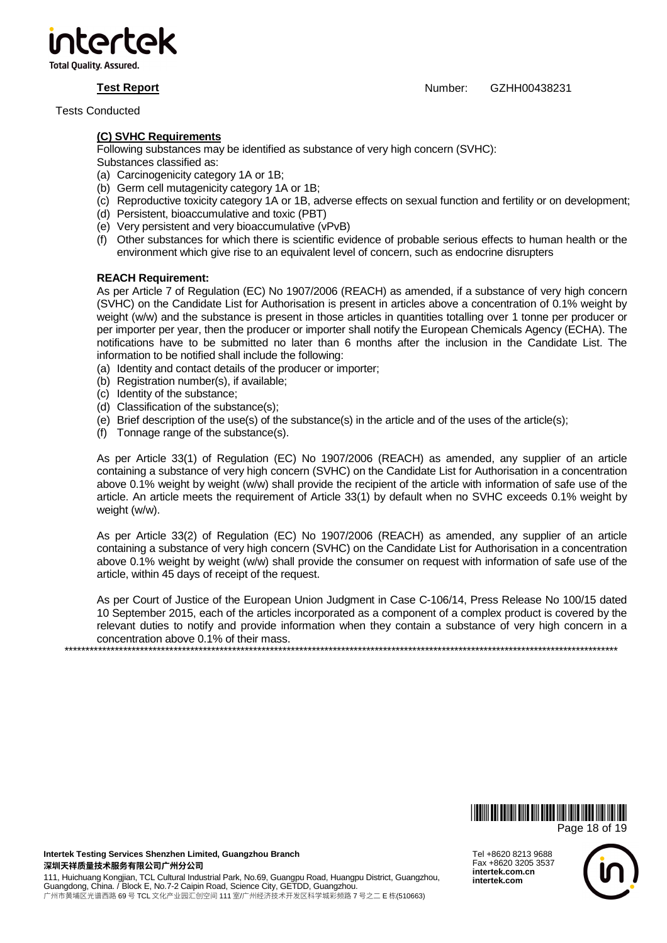

**Test Report** Number: GZHH00438231

Tests Conducted

## **(C) SVHC Requirements**

Following substances may be identified as substance of very high concern (SVHC):

Substances classified as:

- (a) Carcinogenicity category 1A or 1B;
- (b) Germ cell mutagenicity category 1A or 1B;
- (c) Reproductive toxicity category 1A or 1B, adverse effects on sexual function and fertility or on development;
- (d) Persistent, bioaccumulative and toxic (PBT)
- (e) Very persistent and very bioaccumulative (vPvB)
- (f) Other substances for which there is scientific evidence of probable serious effects to human health or the environment which give rise to an equivalent level of concern, such as endocrine disrupters

### **REACH Requirement:**

As per Article 7 of Regulation (EC) No 1907/2006 (REACH) as amended, if a substance of very high concern (SVHC) on the Candidate List for Authorisation is present in articles above a concentration of 0.1% weight by weight (w/w) and the substance is present in those articles in quantities totalling over 1 tonne per producer or per importer per year, then the producer or importer shall notify the European Chemicals Agency (ECHA). The notifications have to be submitted no later than 6 months after the inclusion in the Candidate List. The information to be notified shall include the following:

(a) Identity and contact details of the producer or importer;

- (b) Registration number(s), if available;
- (c) Identity of the substance;
- (d) Classification of the substance(s);
- (e) Brief description of the use(s) of the substance(s) in the article and of the uses of the article(s);
- (f) Tonnage range of the substance(s).

As per Article 33(1) of Regulation (EC) No 1907/2006 (REACH) as amended, any supplier of an article containing a substance of very high concern (SVHC) on the Candidate List for Authorisation in a concentration above 0.1% weight by weight (w/w) shall provide the recipient of the article with information of safe use of the article. An article meets the requirement of Article 33(1) by default when no SVHC exceeds 0.1% weight by weight (w/w).

As per Article 33(2) of Regulation (EC) No 1907/2006 (REACH) as amended, any supplier of an article containing a substance of very high concern (SVHC) on the Candidate List for Authorisation in a concentration above 0.1% weight by weight (w/w) shall provide the consumer on request with information of safe use of the article, within 45 days of receipt of the request.

As per Court of Justice of the European Union Judgment in Case C-106/14, Press Release No 100/15 dated 10 September 2015, each of the articles incorporated as a component of a complex product is covered by the relevant duties to notify and provide information when they contain a substance of very high concern in a concentration above 0.1% of their mass. \*\*\*\*\*\*\*\*\*\*\*\*\*\*\*\*\*\*\*\*\*\*\*\*\*\*\*\*\*\*\*\*\*\*\*\*\*\*\*\*\*\*\*\*\*\*\*\*\*\*\*\*\*\*\*\*\*\*\*\*\*\*\*\*\*\*\*\*\*\*\*\*\*\*\*\*\*\*\*\*\*\*\*\*\*\*\*\*\*\*\*\*\*\*\*\*\*\*\*\*\*\*\*\*\*\*\*\*\*\*\*\*\*\*\*\*\*\*\*\*\*\*\*\*\*\*\*\*\*\*\*\*

> \*GZHJ438231\* Page 18 of 19

**Intertek Testing Services Shenzhen Limited, Guangzhou Branch**  深圳天祥质量技术服务有限公司广州分公司

111, Huichuang Kongjian, TCL Cultural Industrial Park, No.69, Guangpu Road, Huangpu District, Guangzhou, Guangdong, China. / Block E, No.7-2 Caipin Road, Science City, GETDD, Guangzhou. 广州市黄埔区光谱西路 69 号 TCL 文化产业园汇创空间 111 室/广州经济技术开发区科学城彩频路 7 号之二 E 栋(510663)